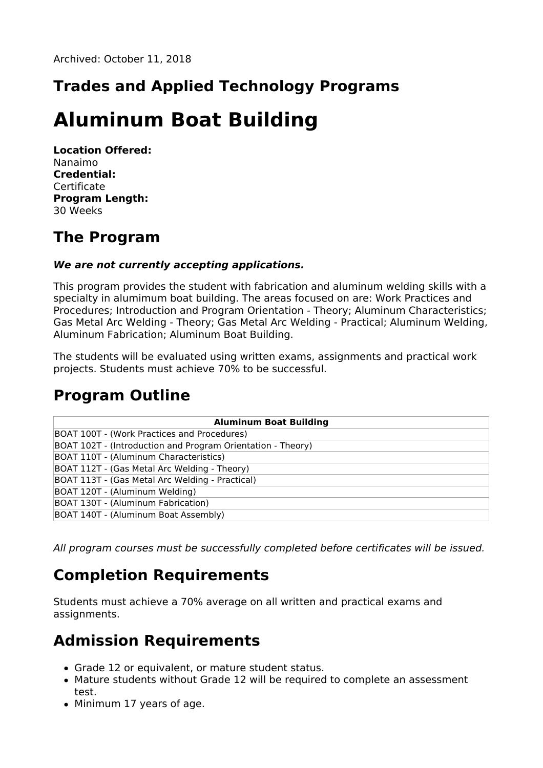# **Trades and Applied Technology Programs**

# **Aluminum Boat Building**

**Location Offered:** Nanaimo **Credential:** Certificate **Program Length:** 30 Weeks

### **The Program**

#### **We are not currently accepting applications.**

This program provides the student with fabrication and aluminum welding skills with a specialty in alumimum boat building. The areas focused on are: Work Practices and Procedures; Introduction and Program Orientation - Theory; Aluminum Characteristics; Gas Metal Arc Welding - Theory; Gas Metal Arc Welding - Practical; Aluminum Welding, Aluminum Fabrication; Aluminum Boat Building.

The students will be evaluated using written exams, assignments and practical work projects. Students must achieve 70% to be successful.

#### **Program Outline**

| <b>Aluminum Boat Building</b>                               |
|-------------------------------------------------------------|
| BOAT 100T - (Work Practices and Procedures)                 |
| BOAT 102T - (Introduction and Program Orientation - Theory) |
| BOAT 110T - (Aluminum Characteristics)                      |
| BOAT 112T - (Gas Metal Arc Welding - Theory)                |
| BOAT 113T - (Gas Metal Arc Welding - Practical)             |
| BOAT 120T - (Aluminum Welding)                              |
| BOAT 130T - (Aluminum Fabrication)                          |
| BOAT 140T - (Aluminum Boat Assembly)                        |

All program courses must be successfully completed before certificates will be issued.

## **Completion Requirements**

Students must achieve a 70% average on all written and practical exams and assignments.

#### **Admission Requirements**

- Grade 12 or equivalent, or mature student status.
- Mature students without Grade 12 will be required to complete an assessment test.
- Minimum 17 years of age.